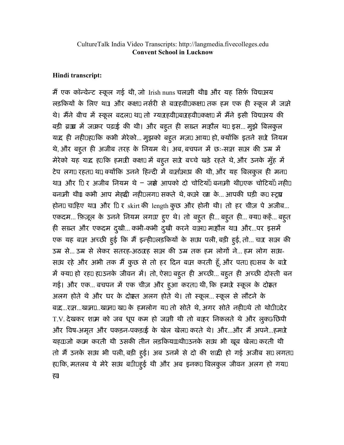## Hindi transcript:

मै एक कॉन्वेन्ट स्कूल गई थी, जो Irish nuns चलाती थीं॥ और यह सिर्फ़ विद्याप्तय लड़कियों के लिए था। और कक्षा नर्सरी से बारहवीं कक्षा तक हम एक ही स्कूल में जाते थे। मैने बीच में स्कूल बदला था तो ग्यारहवींµबारहवीं∏कक्षा में मैने इसी विद्यालय की बड़ी ब्राम्रा में जाकर पढ़ाई की थी। और बहूत ही सख़्त माहौल था इस... मुझे बिलकुल याद ही नहीं हिम कभी मेरेको... मुझको बह्त मज़ा आया हो, क्योंकि इतने सारे नियम थे, और बहुत ही अजीब तरह के नियम थे। अब, बचपन में छः-साप साल की उम्र में मेरेको यह याद ह़ाकि हमारी कक्षा में बहूत सारे बच्चे खड़े रहते थे, और उनके मुँह में टेप लगा रहता था क्योंकि उनने हिन्दी में वार्सालाप की थी, और यह बिलकुल ही मना था। और 1ि र अजीब नियम थे – जस्ने आपको दो चोटियाँ बनामी थीं।एक चोटियाँ नहीं। बनामी थीं। कभी आप मेहद्दी नहीं लगा सकते थे, काले रंग के... आपकी घड़ी का स्ट्रुप होना चाहिए था। और 1 र skirt की length कुछ और होनी थी। तो हर चीज़ पे अजीब... एकदम... फ़िज़ूल के उनने नियम लगाए हूए थे। तो बहूत ही... बहूत ही... क्या कहें... बहूत ही सख़्त और एकदम दुखी... कभी-कभी दुखी करने वाला माहौल था। और...पर इसमें एक यह बाम अच्छी हुई कि मै इन्हीेेेेेेेेेेेेेेेेेे साथ पली, बड़ी हुई, तो... चार साल की उम्र से... उम्र से लेकर सतरह-अठारह साल की उम्र तक हम लोगों ने... हम लोग साथ-साथ रहे और अभी तक मै कुछ से तो हर दिन बान करती हूँ, और पता ह्यसब के बारे ) में क्य⊡हो रह⊔ ह्यउनके जीवन में। तो, ऐस□ बहुत ही अच्छी... बहुत ही अच्छी दोस्ती बन गई। और एक... बचपन में एक चीज़ और हुआ करता थी, कि हमारे स्कूल के दोस्त अलग होते थे और घर के दोम्रत अलग होते थे। तो स्कूल... स्कूल से लौटने के बाद...रात...खाना...खाना खा के हमलोग या तो सोते थे, अगर सोते नहीं थे तो थोडी़ देर T.V. देखकर शाम को जब धूप कम हो जाती थी तो बाहर िनकलते थे और लुका-िछपी और विष-अमृत और पकड़न-पकड़ाई के खेल खेला करते थे। और…और मै अपने…हमारे यह⊞जो काम करती थी उसकी तीन लड़किय⊞थी⊔उनके साथ भी खूब खेल⊔ करती थी तो मैं उनके साथ भी पली, बड़ी हुई। अब उनमें से दो की शादी हो गई अजीब स□ लगत□ ह्यकि, मतलब ये मेरे साथ बागाहुई थी और अब इनका बिलकुल जीवन अलग हो गया